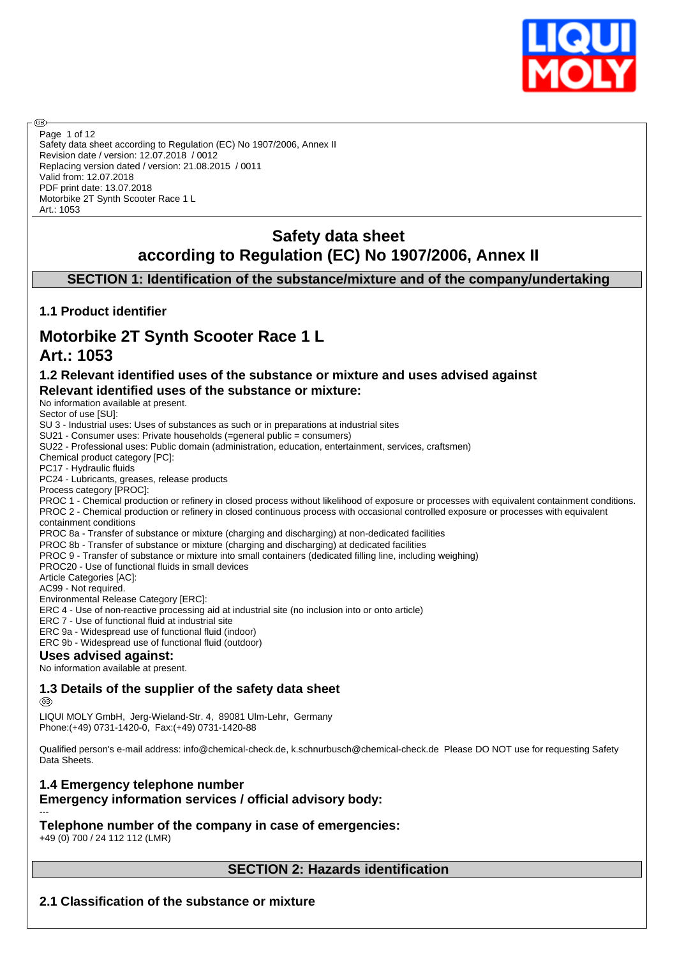

Safety data sheet according to Regulation (EC) No 1907/2006, Annex II Revision date / version: 12.07.2018 / 0012 Replacing version dated / version: 21.08.2015 / 0011 Valid from: 12.07.2018 PDF print date: 13.07.2018 Motorbike 2T Synth Scooter Race 1 L Art.: 1053 Page 1 of 12

## **Safety data sheet according to Regulation (EC) No 1907/2006, Annex II**

**SECTION 1: Identification of the substance/mixture and of the company/undertaking**

## **1.1 Product identifier**

# **Motorbike 2T Synth Scooter Race 1 L**

## **Art.: 1053**

അ

## **1.2 Relevant identified uses of the substance or mixture and uses advised against Relevant identified uses of the substance or mixture:**

No information available at present.

Sector of use [SU]:

SU 3 - Industrial uses: Uses of substances as such or in preparations at industrial sites

SU21 - Consumer uses: Private households (=general public = consumers)

SU22 - Professional uses: Public domain (administration, education, entertainment, services, craftsmen)

Chemical product category [PC]:

PC17 - Hydraulic fluids

PC24 - Lubricants, greases, release products

Process category [PROC]:

PROC 1 - Chemical production or refinery in closed process without likelihood of exposure or processes with equivalent containment conditions. PROC 2 - Chemical production or refinery in closed continuous process with occasional controlled exposure or processes with equivalent containment conditions

PROC 8a - Transfer of substance or mixture (charging and discharging) at non-dedicated facilities

PROC 8b - Transfer of substance or mixture (charging and discharging) at dedicated facilities

PROC 9 - Transfer of substance or mixture into small containers (dedicated filling line, including weighing)

PROC20 - Use of functional fluids in small devices

Article Categories [AC]:

AC99 - Not required.

Environmental Release Category [ERC]:

ERC 4 - Use of non-reactive processing aid at industrial site (no inclusion into or onto article)

ERC 7 - Use of functional fluid at industrial site

ERC 9a - Widespread use of functional fluid (indoor)

ERC 9b - Widespread use of functional fluid (outdoor)

## **Uses advised against:**

No information available at present.

## **1.3 Details of the supplier of the safety data sheet**

@B

LIQUI MOLY GmbH, Jerg-Wieland-Str. 4, 89081 Ulm-Lehr, Germany Phone:(+49) 0731-1420-0, Fax:(+49) 0731-1420-88

Qualified person's e-mail address: info@chemical-check.de, k.schnurbusch@chemical-check.de Please DO NOT use for requesting Safety Data Sheets.

## **1.4 Emergency telephone number Emergency information services / official advisory body:**

--- **Telephone number of the company in case of emergencies:** +49 (0) 700 / 24 112 112 (LMR)

**SECTION 2: Hazards identification**

**2.1 Classification of the substance or mixture**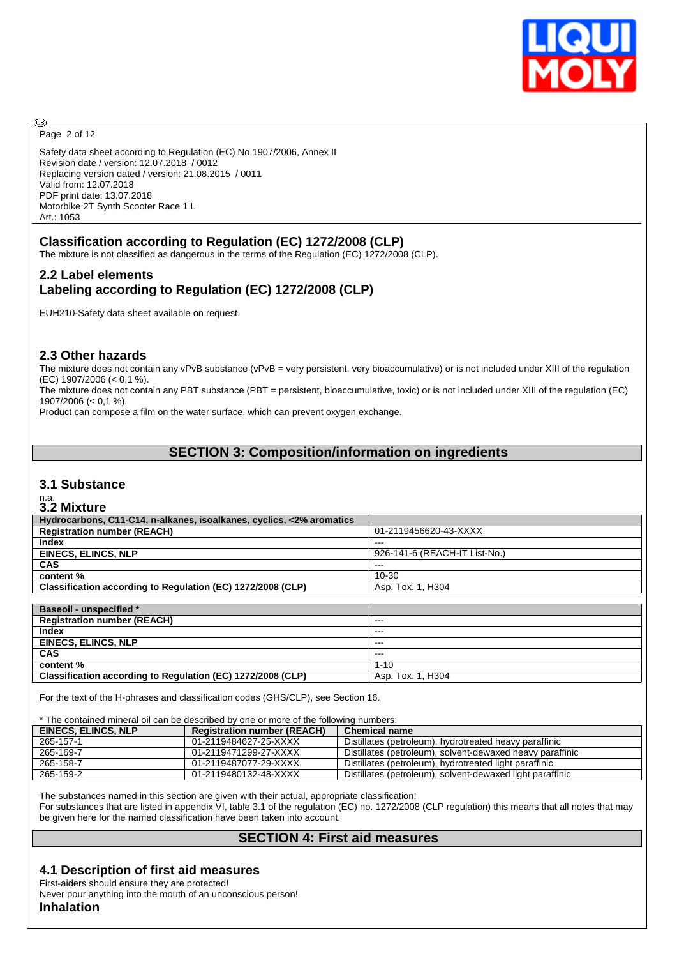

Page 2 of 12

**®** 

Safety data sheet according to Regulation (EC) No 1907/2006, Annex II Revision date / version: 12.07.2018 / 0012 Replacing version dated / version: 21.08.2015 / 0011 Valid from: 12.07.2018 PDF print date: 13.07.2018 Motorbike 2T Synth Scooter Race 1 L Art.: 1053

## **Classification according to Regulation (EC) 1272/2008 (CLP)**

The mixture is not classified as dangerous in the terms of the Regulation (EC) 1272/2008 (CLP).

## **2.2 Label elements Labeling according to Regulation (EC) 1272/2008 (CLP)**

EUH210-Safety data sheet available on request.

## **2.3 Other hazards**

The mixture does not contain any vPvB substance (vPvB = very persistent, very bioaccumulative) or is not included under XIII of the regulation (EC) 1907/2006 (< 0,1 %).

The mixture does not contain any PBT substance (PBT = persistent, bioaccumulative, toxic) or is not included under XIII of the regulation (EC) 1907/2006 (< 0,1 %).

Product can compose a film on the water surface, which can prevent oxygen exchange.

## **SECTION 3: Composition/information on ingredients**

#### **3.1 Substance**

# n.a. **3.2 Mixture**

| <b>J.Z MIXLUIE</b>                                                   |                               |
|----------------------------------------------------------------------|-------------------------------|
| Hydrocarbons, C11-C14, n-alkanes, isoalkanes, cyclics, <2% aromatics |                               |
| <b>Registration number (REACH)</b>                                   | 01-2119456620-43-XXXX         |
| Index                                                                | ---                           |
| <b>EINECS, ELINCS, NLP</b>                                           | 926-141-6 (REACH-IT List-No.) |
| CAS                                                                  | ---                           |
| content %                                                            | 10-30                         |
| Classification according to Regulation (EC) 1272/2008 (CLP)          | Asp. Tox. 1, H304             |
|                                                                      |                               |
| <b>Baseoil - unspecified *</b>                                       |                               |
| <b>Registration number (REACH)</b>                                   | ---                           |
| <b>Index</b>                                                         | ---                           |
| <b>EINECS, ELINCS, NLP</b>                                           | ---                           |
| <b>CAS</b>                                                           | ---                           |
| content %                                                            | $1 - 10$                      |
| Classification according to Regulation (EC) 1272/2008 (CLP)          | Asp. Tox. 1, H304             |

For the text of the H-phrases and classification codes (GHS/CLP), see Section 16.

\* The contained mineral oil can be described by one or more of the following numbers:

| EINECS, ELINCS, NLP | <b>Registration number (REACH)</b> | Chemical name                                             |
|---------------------|------------------------------------|-----------------------------------------------------------|
| 265-157-1           | 01-2119484627-25-XXXX              | Distillates (petroleum), hydrotreated heavy paraffinic    |
| 265-169-7           | 01-2119471299-27-XXXX              | Distillates (petroleum), solvent-dewaxed heavy paraffinic |
| 265-158-7           | 01-2119487077-29-XXXX              | Distillates (petroleum), hydrotreated light paraffinic    |
| 265-159-2           | 01-2119480132-48-XXXX              | Distillates (petroleum), solvent-dewaxed light paraffinic |

The substances named in this section are given with their actual, appropriate classification!

For substances that are listed in appendix VI, table 3.1 of the regulation (EC) no. 1272/2008 (CLP regulation) this means that all notes that may be given here for the named classification have been taken into account.

## **SECTION 4: First aid measures**

## **4.1 Description of first aid measures**

First-aiders should ensure they are protected!

Never pour anything into the mouth of an unconscious person!

**Inhalation**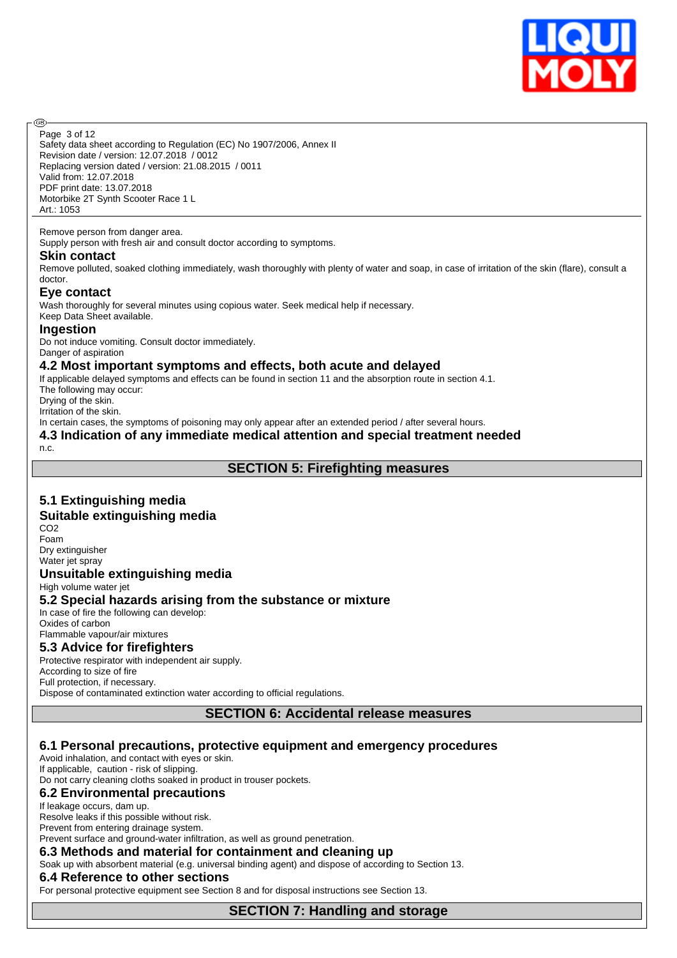

Safety data sheet according to Regulation (EC) No 1907/2006, Annex II Revision date / version: 12.07.2018 / 0012 Replacing version dated / version: 21.08.2015 / 0011 Page 3 of 12

Valid from: 12.07.2018 PDF print date: 13.07.2018 Motorbike 2T Synth Scooter Race 1 L Art.: 1053

#### Remove person from danger area.

Supply person with fresh air and consult doctor according to symptoms.

#### **Skin contact**

അ

Remove polluted, soaked clothing immediately, wash thoroughly with plenty of water and soap, in case of irritation of the skin (flare), consult a doctor.

#### **Eye contact**

Wash thoroughly for several minutes using copious water. Seek medical help if necessary. Keep Data Sheet available.

#### **Ingestion**

Do not induce vomiting. Consult doctor immediately. Danger of aspiration

## **4.2 Most important symptoms and effects, both acute and delayed**

If applicable delayed symptoms and effects can be found in section 11 and the absorption route in section 4.1. The following may occur:

Drying of the skin.

Irritation of the skin.

In certain cases, the symptoms of poisoning may only appear after an extended period / after several hours.

## **4.3 Indication of any immediate medical attention and special treatment needed**

n.c.

#### **SECTION 5: Firefighting measures**

## **5.1 Extinguishing media**

#### **Suitable extinguishing media**

CO<sub>2</sub> Foam Dry extinguisher Water jet spray

#### **Unsuitable extinguishing media**

High volume water jet **5.2 Special hazards arising from the substance or mixture** In case of fire the following can develop:

Oxides of carbon Flammable vapour/air mixtures

## **5.3 Advice for firefighters**

Protective respirator with independent air supply. According to size of fire Full protection, if necessary. Dispose of contaminated extinction water according to official regulations.

**SECTION 6: Accidental release measures**

## **6.1 Personal precautions, protective equipment and emergency procedures**

Avoid inhalation, and contact with eyes or skin.

If applicable, caution - risk of slipping. Do not carry cleaning cloths soaked in product in trouser pockets.

#### **6.2 Environmental precautions**

#### If leakage occurs, dam up.

Resolve leaks if this possible without risk. Prevent from entering drainage system.

Prevent surface and ground-water infiltration, as well as ground penetration.

#### **6.3 Methods and material for containment and cleaning up**

Soak up with absorbent material (e.g. universal binding agent) and dispose of according to Section 13.

#### **6.4 Reference to other sections**

For personal protective equipment see Section 8 and for disposal instructions see Section 13.

**SECTION 7: Handling and storage**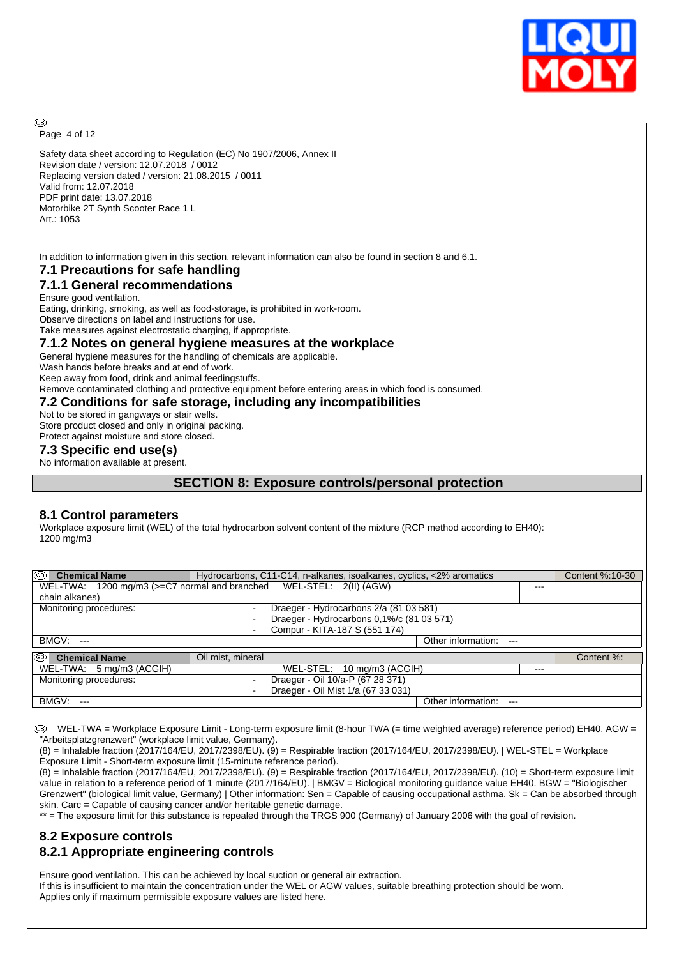

Page 4 of 12

അ

Safety data sheet according to Regulation (EC) No 1907/2006, Annex II Revision date / version: 12.07.2018 / 0012 Replacing version dated / version: 21.08.2015 / 0011 Valid from: 12.07.2018 PDF print date: 13.07.2018 Motorbike 2T Synth Scooter Race 1 L Art.: 1053

In addition to information given in this section, relevant information can also be found in section 8 and 6.1.

## **7.1 Precautions for safe handling**

## **7.1.1 General recommendations**

Ensure good ventilation. Eating, drinking, smoking, as well as food-storage, is prohibited in work-room.

Observe directions on label and instructions for use. Take measures against electrostatic charging, if appropriate.

**7.1.2 Notes on general hygiene measures at the workplace**

General hygiene measures for the handling of chemicals are applicable.

Wash hands before breaks and at end of work.

Keep away from food, drink and animal feedingstuffs.

Remove contaminated clothing and protective equipment before entering areas in which food is consumed.

## **7.2 Conditions for safe storage, including any incompatibilities**

Not to be stored in gangways or stair wells.

Store product closed and only in original packing. Protect against moisture and store closed.

## **7.3 Specific end use(s)**

No information available at present.

## **SECTION 8: Exposure controls/personal protection**

## **8.1 Control parameters**

Workplace exposure limit (WEL) of the total hydrocarbon solvent content of the mixture (RCP method according to EH40): 1200 mg/m3

| (ශ)<br><b>Chemical Name</b>                                           |                   | Hydrocarbons, C11-C14, n-alkanes, isoalkanes, cyclics, <2% aromatics |                             |         | Content %:10-30 |
|-----------------------------------------------------------------------|-------------------|----------------------------------------------------------------------|-----------------------------|---------|-----------------|
| WEL-TWA: 1200 mg/m3 (>=C7 normal and branched   WEL-STEL: 2(II) (AGW) |                   |                                                                      |                             | $- - -$ |                 |
| chain alkanes)                                                        |                   |                                                                      |                             |         |                 |
| Monitoring procedures:                                                |                   | Draeger - Hydrocarbons 2/a (81 03 581)                               |                             |         |                 |
|                                                                       |                   | Draeger - Hydrocarbons 0,1%/c (81 03 571)                            |                             |         |                 |
|                                                                       |                   | Compur - KITA-187 S (551 174)                                        |                             |         |                 |
| BMGV:<br>$\sim$ $\sim$                                                |                   |                                                                      | Other information:<br>$---$ |         |                 |
| I®<br><b>Chemical Name</b>                                            | Oil mist, mineral |                                                                      |                             |         | Content %:      |
| WEL-TWA: 5 mg/m3 (ACGIH)                                              |                   | WEL-STEL: 10 mg/m3 (ACGIH)                                           |                             | $- - -$ |                 |
| Monitoring procedures:                                                |                   | Draeger - Oil 10/a-P (67 28 371)                                     |                             |         |                 |
|                                                                       |                   | Draeger - Oil Mist 1/a (67 33 031)                                   |                             |         |                 |
| BMGV:<br>$---$                                                        |                   |                                                                      | Other information:<br>$---$ |         |                 |

 WEL-TWA = Workplace Exposure Limit - Long-term exposure limit (8-hour TWA (= time weighted average) reference period) EH40. AGW = "Arbeitsplatzgrenzwert" (workplace limit value, Germany).

(8) = Inhalable fraction (2017/164/EU, 2017/2398/EU). (9) = Respirable fraction (2017/164/EU, 2017/2398/EU). | WEL-STEL = Workplace Exposure Limit - Short-term exposure limit (15-minute reference period).

(8) = Inhalable fraction (2017/164/EU, 2017/2398/EU). (9) = Respirable fraction (2017/164/EU, 2017/2398/EU). (10) = Short-term exposure limit value in relation to a reference period of 1 minute (2017/164/EU). | BMGV = Biological monitoring guidance value EH40. BGW = "Biologischer Grenzwert" (biological limit value, Germany) | Other information: Sen = Capable of causing occupational asthma. Sk = Can be absorbed through skin. Carc = Capable of causing cancer and/or heritable genetic damage.

\*\* = The exposure limit for this substance is repealed through the TRGS 900 (Germany) of January 2006 with the goal of revision.

## **8.2 Exposure controls 8.2.1 Appropriate engineering controls**

Ensure good ventilation. This can be achieved by local suction or general air extraction. If this is insufficient to maintain the concentration under the WEL or AGW values, suitable breathing protection should be worn. Applies only if maximum permissible exposure values are listed here.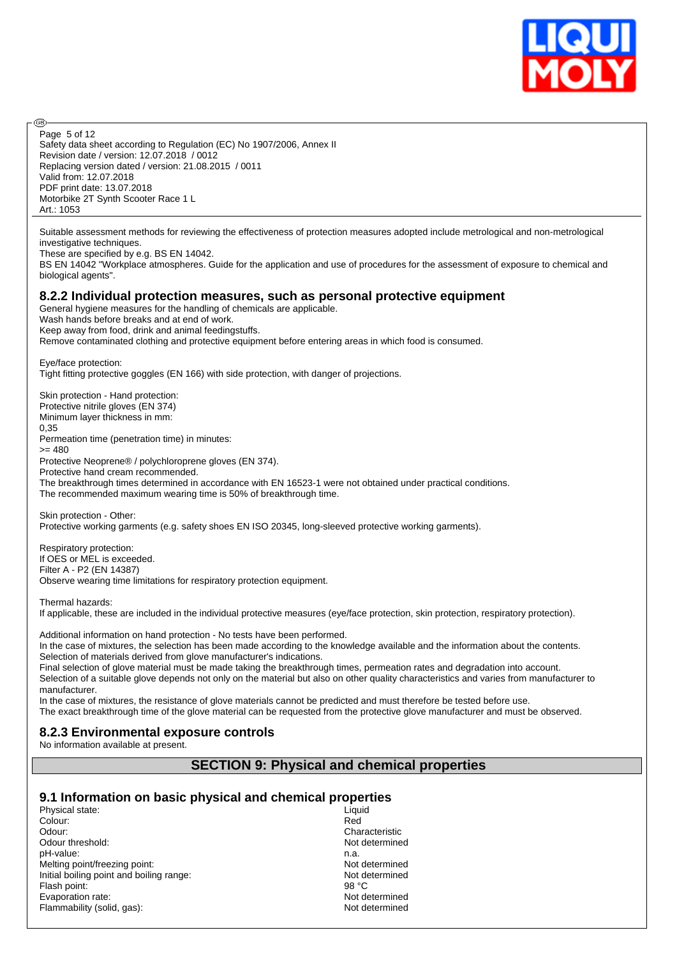

Safety data sheet according to Regulation (EC) No 1907/2006, Annex II Revision date / version: 12.07.2018 / 0012 Replacing version dated / version: 21.08.2015 / 0011 Valid from: 12.07.2018 PDF print date: 13.07.2018 Motorbike 2T Synth Scooter Race 1 L Art.: 1053 Page 5 of 12

Suitable assessment methods for reviewing the effectiveness of protection measures adopted include metrological and non-metrological investigative techniques.

These are specified by e.g. BS EN 14042.

അ

BS EN 14042 "Workplace atmospheres. Guide for the application and use of procedures for the assessment of exposure to chemical and biological agents".

#### **8.2.2 Individual protection measures, such as personal protective equipment**

General hygiene measures for the handling of chemicals are applicable. Wash hands before breaks and at end of work. Keep away from food, drink and animal feedingstuffs.

Remove contaminated clothing and protective equipment before entering areas in which food is consumed.

Eye/face protection: Tight fitting protective goggles (EN 166) with side protection, with danger of projections.

Skin protection - Hand protection: Protective nitrile gloves (EN 374) Minimum layer thickness in mm: 0,35 Permeation time (penetration time) in minutes:  $>= 480$ Protective Neoprene® / polychloroprene gloves (EN 374). Protective hand cream recommended. The breakthrough times determined in accordance with EN 16523-1 were not obtained under practical conditions. The recommended maximum wearing time is 50% of breakthrough time.

Skin protection - Other: Protective working garments (e.g. safety shoes EN ISO 20345, long-sleeved protective working garments).

Respiratory protection: If OES or MEL is exceeded. Filter A - P2 (EN 14387) Observe wearing time limitations for respiratory protection equipment.

Thermal hazards:

If applicable, these are included in the individual protective measures (eye/face protection, skin protection, respiratory protection).

Additional information on hand protection - No tests have been performed.

In the case of mixtures, the selection has been made according to the knowledge available and the information about the contents. Selection of materials derived from glove manufacturer's indications.

Final selection of glove material must be made taking the breakthrough times, permeation rates and degradation into account. Selection of a suitable glove depends not only on the material but also on other quality characteristics and varies from manufacturer to manufacturer.

In the case of mixtures, the resistance of glove materials cannot be predicted and must therefore be tested before use. The exact breakthrough time of the glove material can be requested from the protective glove manufacturer and must be observed.

## **8.2.3 Environmental exposure controls**

No information available at present.

## **SECTION 9: Physical and chemical properties**

#### **9.1 Information on basic physical and chemical properties**

Physical state: Liquid Colour: Liquid Colour: Liquid Colour: Liquid Colour: Liquid Colour: Liquid Colour: Liquid Colour: Liquid Colour: Liquid Colour: Liquid Colour: Liquid Colour: Liquid Colour: Liquid Colour: Liquid Colo Colour: Red Odour:<br>
Odour threshold:<br>
Odour threshold: Odour threshold: pH-value:<br>
Melting point/freezing point:<br>
Melting point/freezing point: Melting point/freezing point:<br>
Initial boiling point and boiling range:<br>
Not determined Initial boiling point and boiling range: Flash point: 98 °C Evaporation rate:<br>
Flammability (solid, gas):<br>
Flammability (solid, gas):<br>
Not determined Flammability (solid, gas):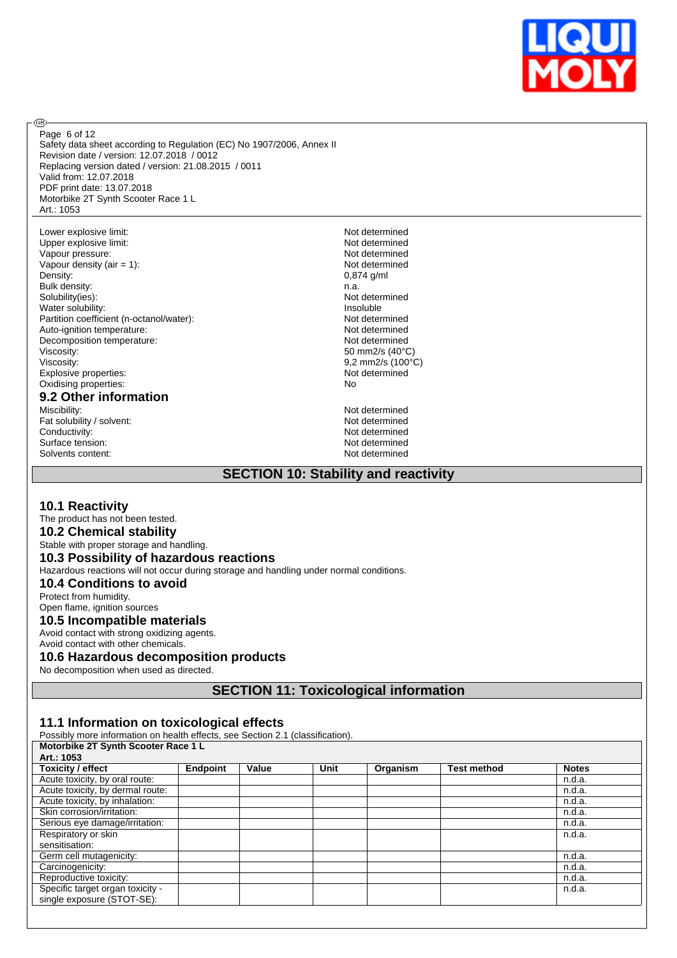

Safety data sheet according to Regulation (EC) No 1907/2006, Annex II Revision date / version: 12.07.2018 / 0012 Replacing version dated / version: 21.08.2015 / 0011 Valid from: 12.07.2018 PDF print date: 13.07.2018 Motorbike 2T Synth Scooter Race 1 L Art.: 1053 Page 6 of 12

Lower explosive limit:<br>
Upper explosive limit:<br>
Upper explosive limit:<br>
Not determined Upper explosive limit:<br>
Vapour pressure: Not determined<br>
Vapour pressure: Not determined Vapour pressure: Vapour density (air = 1):  $\sqrt{0.874 \text{ g/mol}}$  Not determined Density: Bulk density: n.a.<br>Solubility(ies): n.a.<br>Not Water solubility: Partition coefficient (n-octanol/water):<br>Auto-ignition temperature: Not determined<br>Not determined Auto-ignition temperature:<br>
Decomposition temperature:<br>
Not determined Decomposition temperature:<br>Viscosity: Viscosity: 9,2 mm2/s (100°C) Explosive properties:<br>
Oxidising properties:<br>
Oxidising properties:<br>
No Oxidising properties:

# **9.2 Other information**

Fat solubility / solvent:<br>
Conductivity:<br>
Not determined<br>
Not determined Surface tension: Not determined<br>Solvents content: Not determined<br>Not determined Solvents content:

**®** 

 $0,874$  g/ml Not determined<br>Insoluble 50 mm2/s (40°C)

Not determined Not determined<br>Not determined

## **SECTION 10: Stability and reactivity**

## **10.1 Reactivity**

#### The product has not been tested.

**10.2 Chemical stability**

## Stable with proper storage and handling.

## **10.3 Possibility of hazardous reactions**

Hazardous reactions will not occur during storage and handling under normal conditions.

#### **10.4 Conditions to avoid**

Protect from humidity. Open flame, ignition sources

## **10.5 Incompatible materials**

Avoid contact with strong oxidizing agents.

## Avoid contact with other chemicals.

## **10.6 Hazardous decomposition products**

No decomposition when used as directed.

**SECTION 11: Toxicological information**

## **11.1 Information on toxicological effects**

Possibly more information on health effects, see Section 2.1 (classification).

#### **Motorbike 2T Synth Scooter Race 1 L**

| Art.: 1053                       |          |       |      |          |                    |              |
|----------------------------------|----------|-------|------|----------|--------------------|--------------|
| Toxicity / effect                | Endpoint | Value | Unit | Organism | <b>Test method</b> | <b>Notes</b> |
| Acute toxicity, by oral route:   |          |       |      |          |                    | n.d.a.       |
| Acute toxicity, by dermal route: |          |       |      |          |                    | n.d.a.       |
| Acute toxicity, by inhalation:   |          |       |      |          |                    | n.d.a.       |
| Skin corrosion/irritation:       |          |       |      |          |                    | n.d.a.       |
| Serious eye damage/irritation:   |          |       |      |          |                    | n.d.a.       |
| Respiratory or skin              |          |       |      |          |                    | n.d.a.       |
| sensitisation:                   |          |       |      |          |                    |              |
| Germ cell mutagenicity:          |          |       |      |          |                    | n.d.a.       |
| Carcinogenicity:                 |          |       |      |          |                    | n.d.a.       |
| Reproductive toxicity:           |          |       |      |          |                    | n.d.a.       |
| Specific target organ toxicity - |          |       |      |          |                    | n.d.a.       |
| single exposure (STOT-SE):       |          |       |      |          |                    |              |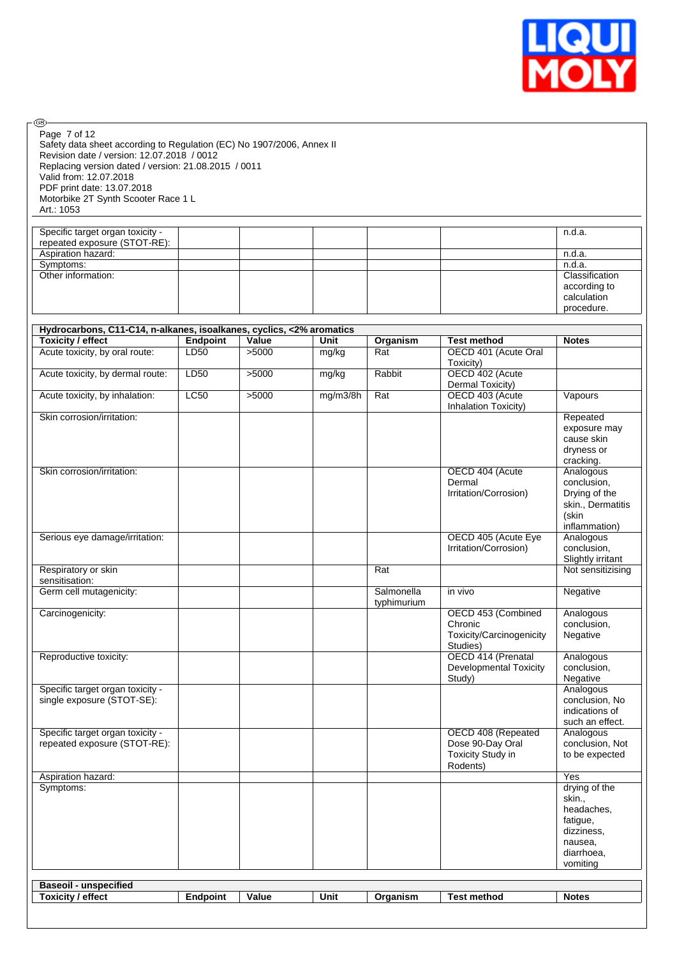

Safety data sheet according to Regulation (EC) No 1907/2006, Annex II Revision date / version: 12.07.2018 / 0012 Replacing version dated / version: 21.08.2015 / 0011 Valid from: 12.07.2018 PDF print date: 13.07.2018 Motorbike 2T Synth Scooter Race 1 L Art.: 1053 Page 7 of 12

 $\circledcirc$ 

| Specific target organ toxicity - |  |  | n.d.a.         |
|----------------------------------|--|--|----------------|
| repeated exposure (STOT-RE):     |  |  |                |
| Aspiration hazard:               |  |  | n.d.a.         |
| Symptoms:                        |  |  | n.d.a.         |
| Other information:               |  |  | Classification |
|                                  |  |  | according to   |
|                                  |  |  | calculation    |
|                                  |  |  | procedure.     |

| Hydrocarbons, C11-C14, n-alkanes, isoalkanes, cyclics, <2% aromatics<br><b>Toxicity / effect</b> | <b>Endpoint</b> | Value | Unit     | Organism    | <b>Test method</b>                  | <b>Notes</b>               |
|--------------------------------------------------------------------------------------------------|-----------------|-------|----------|-------------|-------------------------------------|----------------------------|
| Acute toxicity, by oral route:                                                                   | LD50            | >5000 | mg/kg    | Rat         | OECD 401 (Acute Oral                |                            |
|                                                                                                  |                 |       |          |             | Toxicity)                           |                            |
| Acute toxicity, by dermal route:                                                                 | LD50            | >5000 | mg/kg    | Rabbit      | OECD 402 (Acute                     |                            |
|                                                                                                  |                 |       |          |             | Dermal Toxicity)                    |                            |
| Acute toxicity, by inhalation:                                                                   | <b>LC50</b>     | >5000 | mg/m3/8h | Rat         | OECD 403 (Acute                     | Vapours                    |
|                                                                                                  |                 |       |          |             | Inhalation Toxicity)                |                            |
| Skin corrosion/irritation:                                                                       |                 |       |          |             |                                     | Repeated                   |
|                                                                                                  |                 |       |          |             |                                     | exposure may<br>cause skin |
|                                                                                                  |                 |       |          |             |                                     | dryness or                 |
|                                                                                                  |                 |       |          |             |                                     | cracking.                  |
| Skin corrosion/irritation:                                                                       |                 |       |          |             | OECD 404 (Acute                     | Analogous                  |
|                                                                                                  |                 |       |          |             | Dermal                              | conclusion,                |
|                                                                                                  |                 |       |          |             | Irritation/Corrosion)               | Drying of the              |
|                                                                                                  |                 |       |          |             |                                     | skin., Dermatitis          |
|                                                                                                  |                 |       |          |             |                                     | (skin                      |
|                                                                                                  |                 |       |          |             |                                     | inflammation)              |
| Serious eye damage/irritation:                                                                   |                 |       |          |             | OECD 405 (Acute Eye                 | Analogous                  |
|                                                                                                  |                 |       |          |             | Irritation/Corrosion)               | conclusion,                |
|                                                                                                  |                 |       |          |             |                                     | Slightly irritant          |
| Respiratory or skin                                                                              |                 |       |          | Rat         |                                     | Not sensitizising          |
| sensitisation:                                                                                   |                 |       |          |             |                                     |                            |
| Germ cell mutagenicity:                                                                          |                 |       |          | Salmonella  | in vivo                             | Negative                   |
|                                                                                                  |                 |       |          | typhimurium |                                     |                            |
| Carcinogenicity:                                                                                 |                 |       |          |             | OECD 453 (Combined                  | Analogous                  |
|                                                                                                  |                 |       |          |             | Chronic<br>Toxicity/Carcinogenicity | conclusion,<br>Negative    |
|                                                                                                  |                 |       |          |             | Studies)                            |                            |
| Reproductive toxicity:                                                                           |                 |       |          |             | OECD 414 (Prenatal                  | Analogous                  |
|                                                                                                  |                 |       |          |             | <b>Developmental Toxicity</b>       | conclusion,                |
|                                                                                                  |                 |       |          |             | Study)                              | Negative                   |
| Specific target organ toxicity -                                                                 |                 |       |          |             |                                     | Analogous                  |
| single exposure (STOT-SE):                                                                       |                 |       |          |             |                                     | conclusion, No             |
|                                                                                                  |                 |       |          |             |                                     | indications of             |
|                                                                                                  |                 |       |          |             |                                     | such an effect.            |
| Specific target organ toxicity -                                                                 |                 |       |          |             | OECD 408 (Repeated                  | Analogous                  |
| repeated exposure (STOT-RE):                                                                     |                 |       |          |             | Dose 90-Day Oral                    | conclusion, Not            |
|                                                                                                  |                 |       |          |             | Toxicity Study in                   | to be expected             |
|                                                                                                  |                 |       |          |             | Rodents)                            |                            |
| Aspiration hazard:                                                                               |                 |       |          |             |                                     | Yes                        |
| Symptoms:                                                                                        |                 |       |          |             |                                     | drying of the              |
|                                                                                                  |                 |       |          |             |                                     | skin.,<br>headaches,       |
|                                                                                                  |                 |       |          |             |                                     | fatigue,                   |
|                                                                                                  |                 |       |          |             |                                     | dizziness,                 |
|                                                                                                  |                 |       |          |             |                                     | nausea.                    |
|                                                                                                  |                 |       |          |             |                                     | diarrhoea,                 |
|                                                                                                  |                 |       |          |             |                                     | vomiting                   |
|                                                                                                  |                 |       |          |             |                                     |                            |
| <b>Baseoil - unspecified</b>                                                                     |                 |       |          |             |                                     |                            |
|                                                                                                  |                 | Value |          |             |                                     |                            |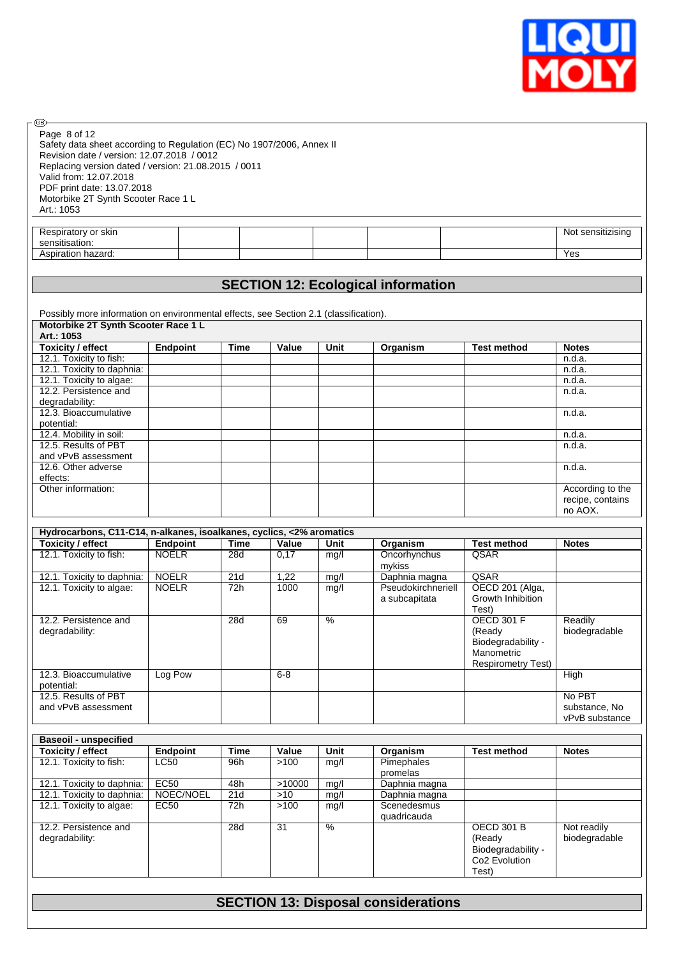

Safety data sheet according to Regulation (EC) No 1907/2006, Annex II Revision date / version: 12.07.2018 / 0012 Replacing version dated / version: 21.08.2015 / 0011 Valid from: 12.07.2018 PDF print date: 13.07.2018 Motorbike 2T Synth Scooter Race 1 L Art.: 1053 Page 8 of 12

 $\circledcirc$ 

| skir.<br>' or<br>oirator<br>w<br>$\sim$ $\sim$<br>oor<br><br>aauvu. |  |  | sensiti<br>$\cdots$<br>NM |
|---------------------------------------------------------------------|--|--|---------------------------|
| .05<br>hazard.<br>atıor<br>ווטכר                                    |  |  | Yes                       |

## **SECTION 12: Ecological information**

Possibly more information on environmental effects, see Section 2.1 (classification).  $\Box$ 

| Motorbike 2T Synth Scooter Race 1 L |                 |      |       |      |          |                    |                  |
|-------------------------------------|-----------------|------|-------|------|----------|--------------------|------------------|
| Art.: 1053                          |                 |      |       |      |          |                    |                  |
| <b>Toxicity / effect</b>            | <b>Endpoint</b> | Time | Value | Unit | Organism | <b>Test method</b> | <b>Notes</b>     |
| 12.1. Toxicity to fish:             |                 |      |       |      |          |                    | n.d.a.           |
| 12.1. Toxicity to daphnia:          |                 |      |       |      |          |                    | n.d.a.           |
| 12.1. Toxicity to algae:            |                 |      |       |      |          |                    | n.d.a.           |
| 12.2. Persistence and               |                 |      |       |      |          |                    | n.d.a.           |
| degradability:                      |                 |      |       |      |          |                    |                  |
| 12.3. Bioaccumulative               |                 |      |       |      |          |                    | n.d.a.           |
| potential:                          |                 |      |       |      |          |                    |                  |
| 12.4. Mobility in soil:             |                 |      |       |      |          |                    | n.d.a.           |
| 12.5. Results of PBT                |                 |      |       |      |          |                    | n.d.a.           |
| and vPvB assessment                 |                 |      |       |      |          |                    |                  |
| 12.6. Other adverse                 |                 |      |       |      |          |                    | n.d.a.           |
| effects:                            |                 |      |       |      |          |                    |                  |
| Other information:                  |                 |      |       |      |          |                    | According to the |
|                                     |                 |      |       |      |          |                    | recipe, contains |
|                                     |                 |      |       |      |          |                    | no AOX.          |

|                                             | Hydrocarbons, C11-C14, n-alkanes, isoalkanes, cyclics, <2% aromatics |      |         |      |                                     |                                                                                              |                                           |
|---------------------------------------------|----------------------------------------------------------------------|------|---------|------|-------------------------------------|----------------------------------------------------------------------------------------------|-------------------------------------------|
| Toxicity / effect                           | <b>Endpoint</b>                                                      | Time | Value   | Unit | Organism                            | <b>Test method</b>                                                                           | <b>Notes</b>                              |
| 12.1. Toxicity to fish:                     | <b>NOELR</b>                                                         | 28d  | 0.17    | mq/l | Oncorhynchus<br>mykiss              | QSAR                                                                                         |                                           |
| 12.1. Toxicity to daphnia:                  | <b>NOELR</b>                                                         | 21d  | 1,22    | mg/l | Daphnia magna                       | QSAR                                                                                         |                                           |
| 12.1. Toxicity to algae:                    | <b>NOELR</b>                                                         | 72h  | 1000    | mg/l | Pseudokirchneriell<br>a subcapitata | OECD 201 (Alga,<br>Growth Inhibition<br>Test)                                                |                                           |
| 12.2. Persistence and<br>degradability:     |                                                                      | 28d  | 69      | $\%$ |                                     | <b>OECD 301 F</b><br>(Ready<br>Biodegradability -<br>Manometric<br><b>Respirometry Test)</b> | Readily<br>biodegradable                  |
| 12.3. Bioaccumulative<br>potential:         | Log Pow                                                              |      | $6 - 8$ |      |                                     |                                                                                              | High                                      |
| 12.5. Results of PBT<br>and vPvB assessment |                                                                      |      |         |      |                                     |                                                                                              | No PBT<br>substance, No<br>vPvB substance |

| <b>Baseoil - unspecified</b>            |           |             |        |      |                            |                                                                                         |                              |
|-----------------------------------------|-----------|-------------|--------|------|----------------------------|-----------------------------------------------------------------------------------------|------------------------------|
| <b>Toxicity / effect</b>                | Endpoint  | <b>Time</b> | Value  | Unit | Organism                   | <b>Test method</b>                                                                      | <b>Notes</b>                 |
| 12.1. Toxicity to fish:                 | LC50      | 96h         | >100   | mg/l | Pimephales<br>promelas     |                                                                                         |                              |
| 12.1. Toxicity to daphnia:              | EC50      | 48h         | >10000 | mg/l | Daphnia magna              |                                                                                         |                              |
| 12.1. Toxicity to daphnia:              | NOEC/NOEL | 21d         | >10    | mg/l | Daphnia magna              |                                                                                         |                              |
| 12.1. Toxicity to algae:                | EC50      | 72h         | >100   | mg/l | Scenedesmus<br>quadricauda |                                                                                         |                              |
| 12.2. Persistence and<br>degradability: |           | 28d         | 31     | %    |                            | <b>OECD 301 B</b><br>(Ready<br>Biodegradability -<br>Co <sub>2</sub> Evolution<br>Test) | Not readily<br>biodegradable |

## **SECTION 13: Disposal considerations**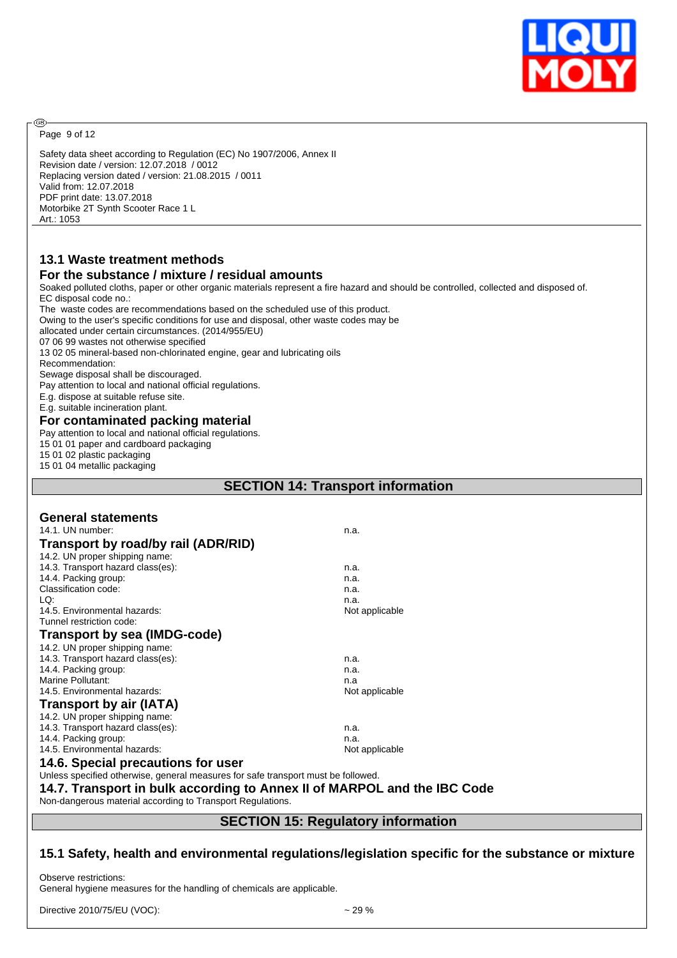

Page 9 of 12

അ

Safety data sheet according to Regulation (EC) No 1907/2006, Annex II Revision date / version: 12.07.2018 / 0012 Replacing version dated / version: 21.08.2015 / 0011 Valid from: 12.07.2018 PDF print date: 13.07.2018 Motorbike 2T Synth Scooter Race 1 L Art.: 1053

# **13.1 Waste treatment methods**

#### **For the substance / mixture / residual amounts**

Soaked polluted cloths, paper or other organic materials represent a fire hazard and should be controlled, collected and disposed of. EC disposal code no.: The waste codes are recommendations based on the scheduled use of this product. Owing to the user's specific conditions for use and disposal, other waste codes may be allocated under certain circumstances. (2014/955/EU) 07 06 99 wastes not otherwise specified 13 02 05 mineral-based non-chlorinated engine, gear and lubricating oils Recommendation: Sewage disposal shall be discouraged. Pay attention to local and national official regulations. E.g. dispose at suitable refuse site. E.g. suitable incineration plant. **For contaminated packing material** Pay attention to local and national official regulations. 15 01 01 paper and cardboard packaging 15 01 02 plastic packaging 15 01 04 metallic packaging **SECTION 14: Transport information General statements** 14.1. UN number: n.a. **Transport by road/by rail (ADR/RID)** 14.2. UN proper shipping name: 14.3. Transport hazard class(es): n.a. 14.4. Packing group: n.a. Classification code: n.a. LQ: n.a. 14.5. Environmental hazards: Not applicable Tunnel restriction code: **Transport by sea (IMDG-code)** 14.2. UN proper shipping name: 14.3. Transport hazard class(es): n.a. 14.4. Packing group: n.a. Marine Pollutant:<br>14.5. Environmental hazards: example and the state of the state of the Not applicable 14.5. Environmental hazards: **Transport by air (IATA)** 14.2. UN proper shipping name: 14.3. Transport hazard class(es): n.a. 14.4. Packing group: n.a. 14.5. Environmental hazards: Not applicable **14.6. Special precautions for user** Unless specified otherwise, general measures for safe transport must be followed. **14.7. Transport in bulk according to Annex II of MARPOL and the IBC Code** Non-dangerous material according to Transport Regulations.

## **SECTION 15: Regulatory information**

## **15.1 Safety, health and environmental regulations/legislation specific for the substance or mixture**

Observe restrictions: General hygiene measures for the handling of chemicals are applicable.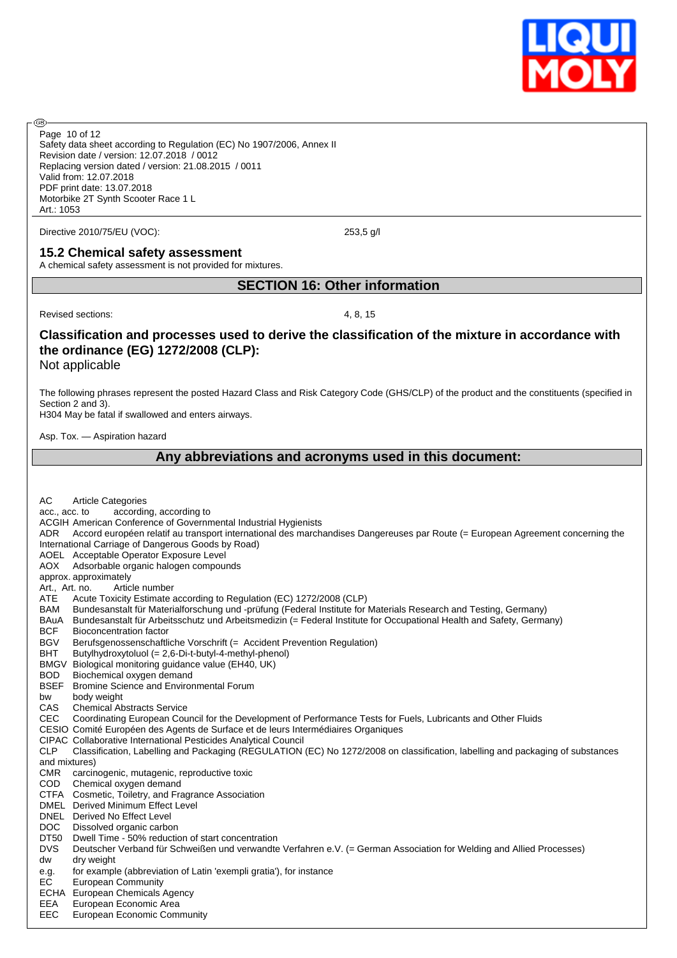

Safety data sheet according to Regulation (EC) No 1907/2006, Annex II Revision date / version: 12.07.2018 / 0012 Replacing version dated / version: 21.08.2015 / 0011 Valid from: 12.07.2018 PDF print date: 13.07.2018 Motorbike 2T Synth Scooter Race 1 L Art.: 1053 Page 10 of 12

Directive 2010/75/EU (VOC): 253,5 g/l

#### **15.2 Chemical safety assessment**

A chemical safety assessment is not provided for mixtures.

## **SECTION 16: Other information**

Revised sections: 4, 8, 15

**®** 

## **Classification and processes used to derive the classification of the mixture in accordance with the ordinance (EG) 1272/2008 (CLP):**

Not applicable

The following phrases represent the posted Hazard Class and Risk Category Code (GHS/CLP) of the product and the constituents (specified in Section 2 and 3).

H304 May be fatal if swallowed and enters airways.

Asp. Tox. — Aspiration hazard

## **Any abbreviations and acronyms used in this document:**

| AC<br><b>Article Categories</b>                                                                                                              |
|----------------------------------------------------------------------------------------------------------------------------------------------|
| according, according to<br>acc., acc. to                                                                                                     |
| ACGIH American Conference of Governmental Industrial Hygienists                                                                              |
| Accord européen relatif au transport international des marchandises Dangereuses par Route (= European Agreement concerning the<br>ADR.       |
| International Carriage of Dangerous Goods by Road)                                                                                           |
| AOEL Acceptable Operator Exposure Level                                                                                                      |
| <b>AOX</b><br>Adsorbable organic halogen compounds                                                                                           |
| approx. approximately                                                                                                                        |
| Art., Art. no.<br>Article number                                                                                                             |
| <b>ATE</b><br>Acute Toxicity Estimate according to Regulation (EC) 1272/2008 (CLP)                                                           |
| <b>BAM</b><br>Bundesanstalt für Materialforschung und -prüfung (Federal Institute for Materials Research and Testing, Germany)               |
| Bundesanstalt für Arbeitsschutz und Arbeitsmedizin (= Federal Institute for Occupational Health and Safety, Germany)<br>BAuA                 |
| <b>BCF</b><br><b>Bioconcentration factor</b>                                                                                                 |
| <b>BGV</b><br>Berufsgenossenschaftliche Vorschrift (= Accident Prevention Regulation)                                                        |
| <b>BHT</b><br>Butylhydroxytoluol (= 2,6-Di-t-butyl-4-methyl-phenol)                                                                          |
| <b>BMGV</b><br>Biological monitoring guidance value (EH40, UK)                                                                               |
| <b>BOD</b><br>Biochemical oxygen demand                                                                                                      |
| <b>BSEF</b><br>Bromine Science and Environmental Forum                                                                                       |
| body weight<br>bw                                                                                                                            |
| <b>CAS</b><br><b>Chemical Abstracts Service</b>                                                                                              |
| <b>CEC</b><br>Coordinating European Council for the Development of Performance Tests for Fuels, Lubricants and Other Fluids                  |
| CESIO Comité Européen des Agents de Surface et de leurs Intermédiaires Organiques                                                            |
| <b>CIPAC Collaborative International Pesticides Analytical Council</b>                                                                       |
| <b>CLP</b><br>Classification, Labelling and Packaging (REGULATION (EC) No 1272/2008 on classification, labelling and packaging of substances |
| and mixtures)                                                                                                                                |
| <b>CMR</b><br>carcinogenic, mutagenic, reproductive toxic                                                                                    |
| <b>COD</b><br>Chemical oxygen demand                                                                                                         |
| CTFA Cosmetic, Toiletry, and Fragrance Association                                                                                           |
| <b>DMEL</b> Derived Minimum Effect Level                                                                                                     |
| DNEL Derived No Effect Level                                                                                                                 |
| DOC<br>Dissolved organic carbon                                                                                                              |
| DT50<br>Dwell Time - 50% reduction of start concentration                                                                                    |
| <b>DVS</b><br>Deutscher Verband für Schweißen und verwandte Verfahren e.V. (= German Association for Welding and Allied Processes)           |
| dry weight<br>dw                                                                                                                             |
| for example (abbreviation of Latin 'exempli gratia'), for instance<br>e.g.                                                                   |
| EC<br><b>European Community</b>                                                                                                              |
| ECHA European Chemicals Agency                                                                                                               |
| European Economic Area<br>EEA                                                                                                                |
| EEC<br>European Economic Community                                                                                                           |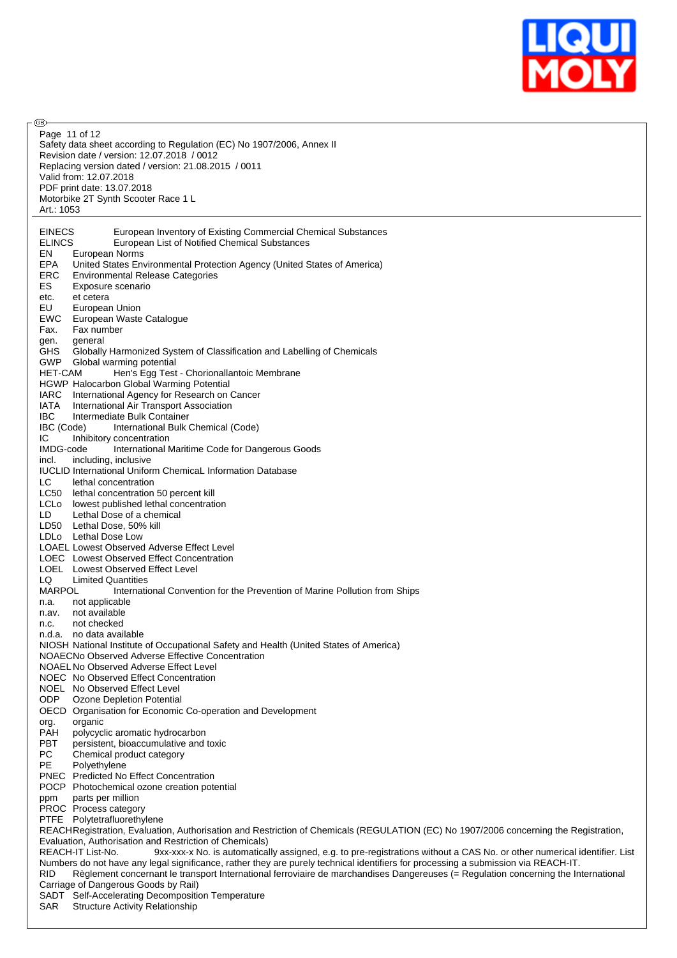

| (GB).         |                                                                                                                                               |
|---------------|-----------------------------------------------------------------------------------------------------------------------------------------------|
|               | Page 11 of 12                                                                                                                                 |
|               | Safety data sheet according to Regulation (EC) No 1907/2006, Annex II                                                                         |
|               | Revision date / version: 12.07.2018 / 0012                                                                                                    |
|               |                                                                                                                                               |
|               | Replacing version dated / version: 21.08.2015 / 0011                                                                                          |
|               | Valid from: 12.07.2018                                                                                                                        |
|               | PDF print date: 13.07.2018                                                                                                                    |
|               | Motorbike 2T Synth Scooter Race 1 L                                                                                                           |
| Art.: 1053    |                                                                                                                                               |
|               |                                                                                                                                               |
| <b>EINECS</b> | European Inventory of Existing Commercial Chemical Substances                                                                                 |
| <b>ELINCS</b> | European List of Notified Chemical Substances                                                                                                 |
|               |                                                                                                                                               |
| EN            | European Norms                                                                                                                                |
| EPA           | United States Environmental Protection Agency (United States of America)                                                                      |
| ERC           | <b>Environmental Release Categories</b>                                                                                                       |
| ES            | Exposure scenario                                                                                                                             |
| etc.          | et cetera                                                                                                                                     |
| EU            | European Union                                                                                                                                |
| EWC           | European Waste Catalogue                                                                                                                      |
| Fax.          | Fax number                                                                                                                                    |
| gen.          | general                                                                                                                                       |
| GHS           | Globally Harmonized System of Classification and Labelling of Chemicals                                                                       |
| <b>GWP</b>    | Global warming potential                                                                                                                      |
|               |                                                                                                                                               |
| HET-CAM       | Hen's Egg Test - Chorionallantoic Membrane                                                                                                    |
|               | HGWP Halocarbon Global Warming Potential                                                                                                      |
| <b>IARC</b>   | International Agency for Research on Cancer                                                                                                   |
| IATA          | International Air Transport Association                                                                                                       |
| <b>IBC</b>    | Intermediate Bulk Container                                                                                                                   |
| IBC (Code)    | International Bulk Chemical (Code)                                                                                                            |
| IC.           | Inhibitory concentration                                                                                                                      |
| IMDG-code     | International Maritime Code for Dangerous Goods                                                                                               |
| incl.         | including, inclusive                                                                                                                          |
|               | <b>IUCLID International Uniform Chemical Information Database</b>                                                                             |
| LC.           | lethal concentration                                                                                                                          |
| LC50          | lethal concentration 50 percent kill                                                                                                          |
|               | LCLo lowest published lethal concentration                                                                                                    |
|               |                                                                                                                                               |
| LD            | Lethal Dose of a chemical                                                                                                                     |
|               | LD50 Lethal Dose, 50% kill                                                                                                                    |
|               | LDLo Lethal Dose Low                                                                                                                          |
|               | LOAEL Lowest Observed Adverse Effect Level                                                                                                    |
|               | LOEC Lowest Observed Effect Concentration                                                                                                     |
|               | LOEL Lowest Observed Effect Level                                                                                                             |
| LQ.           | <b>Limited Quantities</b>                                                                                                                     |
| <b>MARPOL</b> | International Convention for the Prevention of Marine Pollution from Ships                                                                    |
| n.a.          | not applicable                                                                                                                                |
| n.av.         | not available                                                                                                                                 |
| n.c.          | not checked                                                                                                                                   |
|               | n.d.a. no data available                                                                                                                      |
|               | NIOSH National Institute of Occupational Safety and Health (United States of America)                                                         |
|               | NOAECNo Observed Adverse Effective Concentration                                                                                              |
|               | NOAEL No Observed Adverse Effect Level                                                                                                        |
|               | NOEC No Observed Effect Concentration                                                                                                         |
|               | NOEL No Observed Effect Level                                                                                                                 |
|               |                                                                                                                                               |
| ODP.          | Ozone Depletion Potential                                                                                                                     |
|               | OECD Organisation for Economic Co-operation and Development                                                                                   |
| org.          | organic                                                                                                                                       |
| PAH           | polycyclic aromatic hydrocarbon                                                                                                               |
| <b>PBT</b>    | persistent, bioaccumulative and toxic                                                                                                         |
| PC            | Chemical product category                                                                                                                     |
| PE            | Polyethylene                                                                                                                                  |
|               | PNEC Predicted No Effect Concentration                                                                                                        |
|               | POCP Photochemical ozone creation potential                                                                                                   |
| ppm           | parts per million                                                                                                                             |
|               | PROC Process category                                                                                                                         |
|               | PTFE Polytetrafluorethylene                                                                                                                   |
|               | REACHRegistration, Evaluation, Authorisation and Restriction of Chemicals (REGULATION (EC) No 1907/2006 concerning the Registration,          |
|               | Evaluation, Authorisation and Restriction of Chemicals)                                                                                       |
|               | REACH-IT List-No.<br>9xx-xxx-x No. is automatically assigned, e.g. to pre-registrations without a CAS No. or other numerical identifier. List |
|               | Numbers do not have any legal significance, rather they are purely technical identifiers for processing a submission via REACH-IT.            |
| <b>RID</b>    | Règlement concernant le transport International ferroviaire de marchandises Dangereuses (= Regulation concerning the International            |
|               | Carriage of Dangerous Goods by Rail)                                                                                                          |
|               |                                                                                                                                               |
| <b>QAP</b>    | SADT Self-Accelerating Decomposition Temperature<br>Structure Activity Relationship                                                           |

SAR Structure Activity Relationship